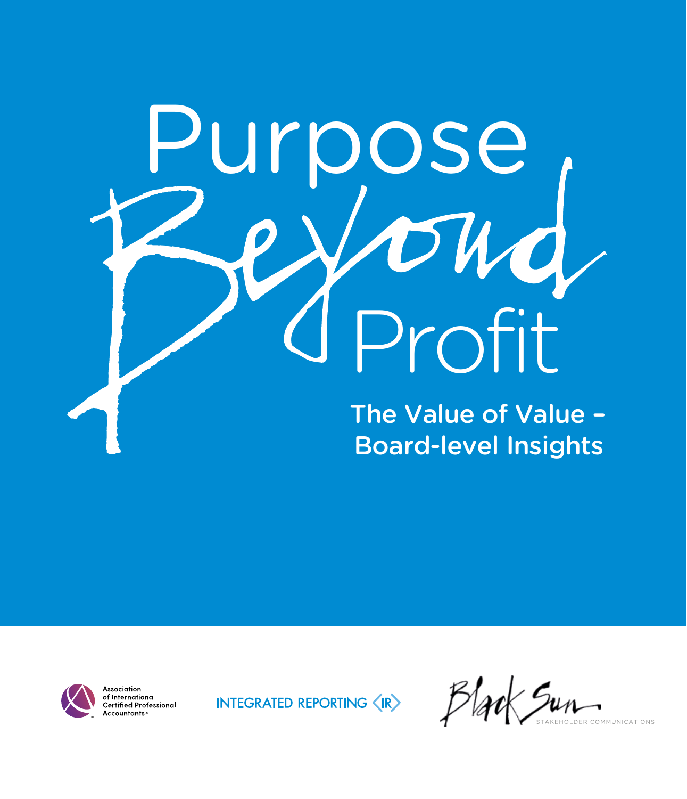# urpose<br>PVoud Profit The Value of Value -Board-level Insights



ssociation of International **Certified Professional** Accountants<sub>®</sub>

INTEGRATED REPORTING (IR)

 $\mathcal{L}_{\mu\mu}$ **DLDER COMMUNICATIONS**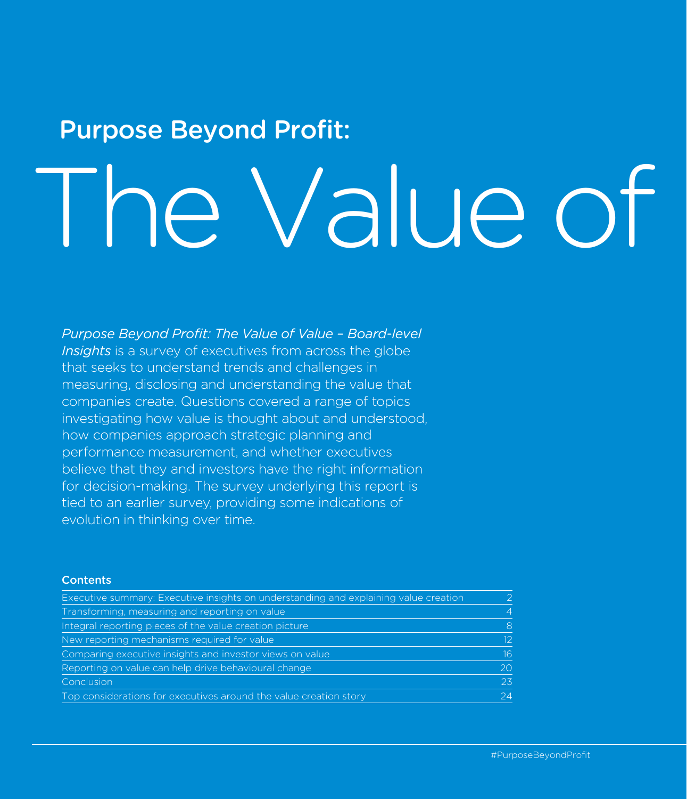# The Value of Purpose Beyond Profit:

#### *Purpose Beyond Profit: The Value of Value – Board-level Insights* is a survey of executives from across the globe that seeks to understand trends and challenges in

measuring, disclosing and understanding the value that companies create. Questions covered a range of topics investigating how value is thought about and understood, how companies approach strategic planning and performance measurement, and whether executives believe that they and investors have the right information for decision-making. The survey underlying this report is tied to an earlier survey, providing some indications of evolution in thinking over time.

#### **Contents**

| Executive summary: Executive insights on understanding and explaining value creation |                 |
|--------------------------------------------------------------------------------------|-----------------|
| Transforming, measuring and reporting on value                                       | $\overline{4}$  |
| Integral reporting pieces of the value creation picture                              | 8               |
| New reporting mechanisms required for value                                          | 12 <sup>°</sup> |
| Comparing executive insights and investor views on value                             | 16.             |
| Reporting on value can help drive behavioural change                                 | 20              |
| Conclusion                                                                           | 23              |
| Top considerations for executives around the value creation story                    | 24              |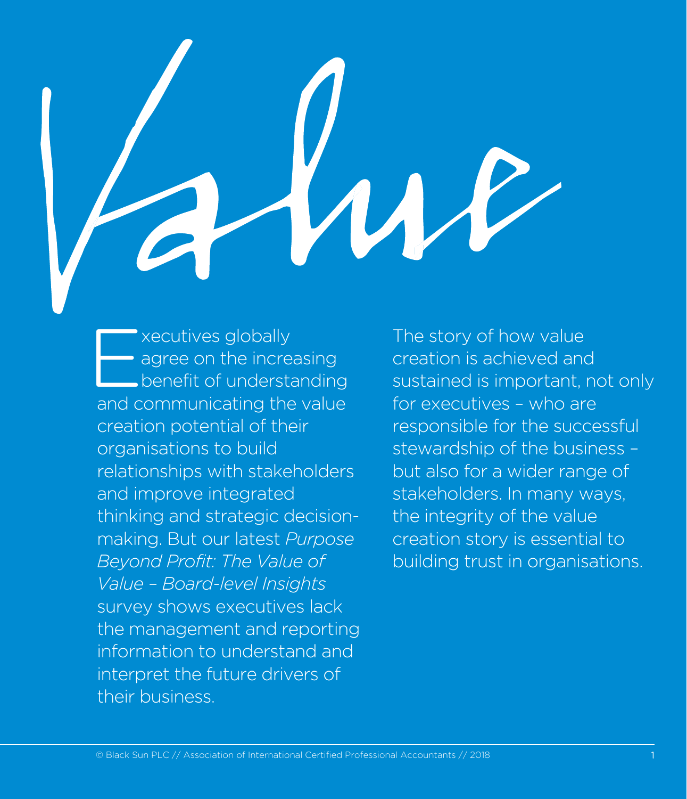xecutives globally<br>agree on the increase benefit of understand agree on the increasing benefit of understanding and communicating the value creation potential of their organisations to build relationships with stakeholders and improve integrated thinking and strategic decisionmaking. But our latest *Purpose Beyond Profit: The Value of Value – Board-level Insights* survey shows executives lack the management and reporting information to understand and interpret the future drivers of their business.

The story of how value creation is achieved and sustained is important, not only for executives – who are responsible for the successful stewardship of the business – but also for a wider range of stakeholders. In many ways, the integrity of the value creation story is essential to building trust in organisations.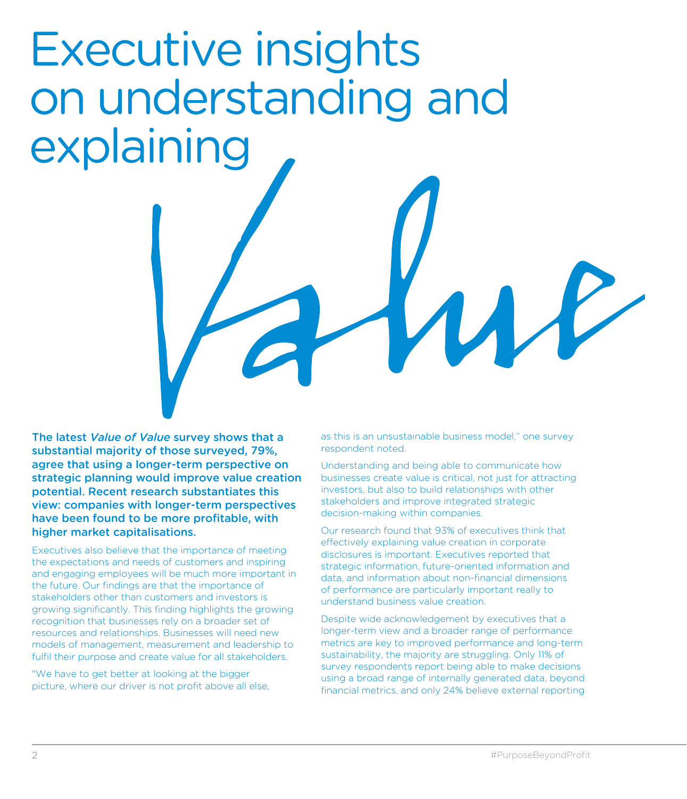### Executive insights on understanding and explaining

The latest *Value of Value* survey shows that a substantial majority of those surveyed, 79%, agree that using a longer-term perspective on strategic planning would improve value creation potential. Recent research substantiates this view: companies with longer-term perspectives have been found to be more profitable, with higher market capitalisations.

Executives also believe that the importance of meeting the expectations and needs of customers and inspiring and engaging employees will be much more important in the future. Our findings are that the importance of stakeholders other than customers and investors is growing significantly. This finding highlights the growing recognition that businesses rely on a broader set of resources and relationships. Businesses will need new models of management, measurement and leadership to fulfil their purpose and create value for all stakeholders.

"We have to get better at looking at the bigger picture, where our driver is not profit above all else, as this is an unsustainable business model," one survey respondent noted.

Understanding and being able to communicate how businesses create value is critical, not just for attracting investors, but also to build relationships with other stakeholders and improve integrated strategic decision-making within companies.

Our research found that 93% of executives think that effectively explaining value creation in corporate disclosures is important. Executives reported that strategic information, future-oriented information and data, and information about non-financial dimensions of performance are particularly important really to understand business value creation.

Despite wide acknowledgement by executives that a longer-term view and a broader range of performance metrics are key to improved performance and long-term sustainability, the majority are struggling. Only 11% of survey respondents report being able to make decisions using a broad range of internally generated data, beyond financial metrics, and only 24% believe external reporting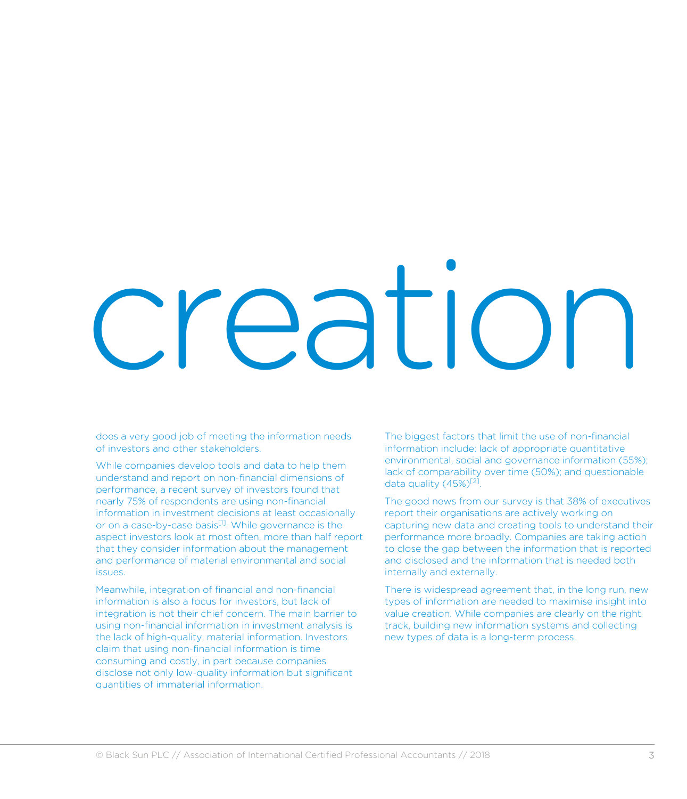# eatic)

does a very good job of meeting the information needs of investors and other stakeholders.

While companies develop tools and data to help them understand and report on non-financial dimensions of performance, a recent survey of investors found that nearly 75% of respondents are using non-financial information in investment decisions at least occasionally or on a case-by-case basis<sup>[1]</sup>. While governance is the aspect investors look at most often, more than half report that they consider information about the management and performance of material environmental and social issues.

Meanwhile, integration of financial and non-financial information is also a focus for investors, but lack of integration is not their chief concern. The main barrier to using non-financial information in investment analysis is the lack of high-quality, material information. Investors claim that using non-financial information is time consuming and costly, in part because companies disclose not only low-quality information but significant quantities of immaterial information.

The biggest factors that limit the use of non-financial information include: lack of appropriate quantitative environmental, social and governance information (55%); lack of comparability over time (50%); and questionable data quality  $(45\%)^{[2]}$ .

The good news from our survey is that 38% of executives report their organisations are actively working on capturing new data and creating tools to understand their performance more broadly. Companies are taking action to close the gap between the information that is reported and disclosed and the information that is needed both internally and externally.

There is widespread agreement that, in the long run, new types of information are needed to maximise insight into value creation. While companies are clearly on the right track, building new information systems and collecting new types of data is a long-term process.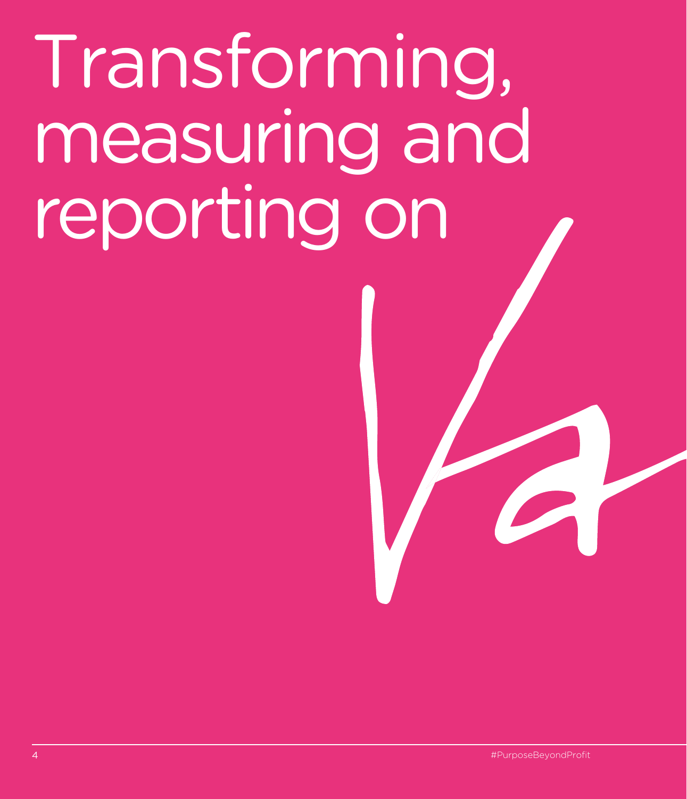# Transforming, measuring and reporting on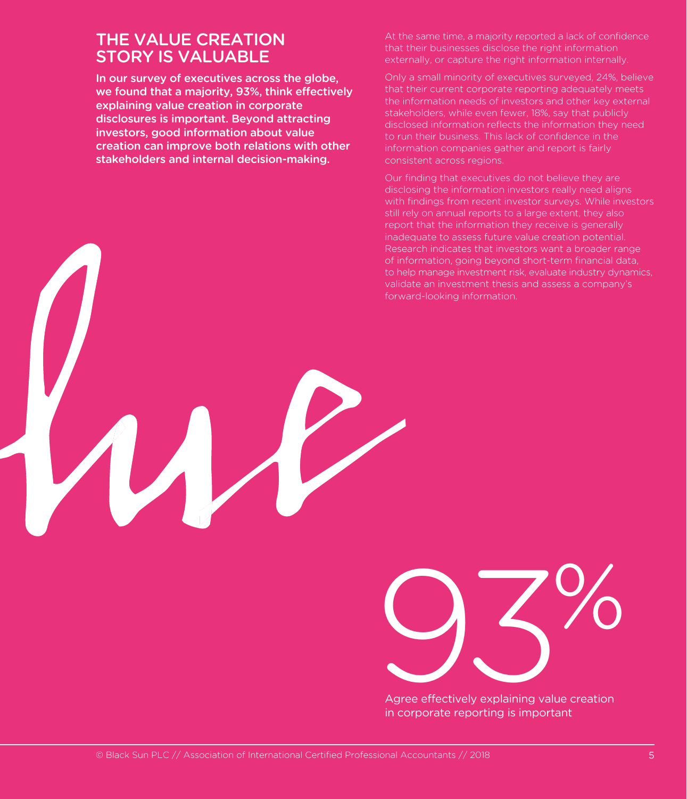#### THE VALUE CREATION STORY IS VALUABLE

In our survey of executives across the globe, we found that a majority, 93%, think effectively explaining value creation in corporate disclosures is important. Beyond attracting investors, good information about value creation can improve both relations with other stakeholders and internal decision-making.

At the same time, a majority reported a lack of confidence that their businesses disclose the right information externally, or capture the right information internally.

Only a small minority of executives surveyed, 24%, believe that their current corporate reporting adequately meets the information needs of investors and other key external stakeholders, while even fewer, 18%, say that publicly disclosed information reflects the information they need to run their business. This lack of confidence in the information companies gather and report is fairly consistent across regions.

Our finding that executives do not believe they are disclosing the information investors really need aligns with findings from recent investor surveys. While investors still rely on annual reports to a large extent, they also report that the information they receive is generally inadequate to assess future value creation potential. Research indicates that investors want a broader range of information, going beyond short-term financial data, to help manage investment risk, evaluate industry dynamics, validate an investment thesis and assess a company's forward-looking information.



Agree effectively explaining value creation in corporate reporting is important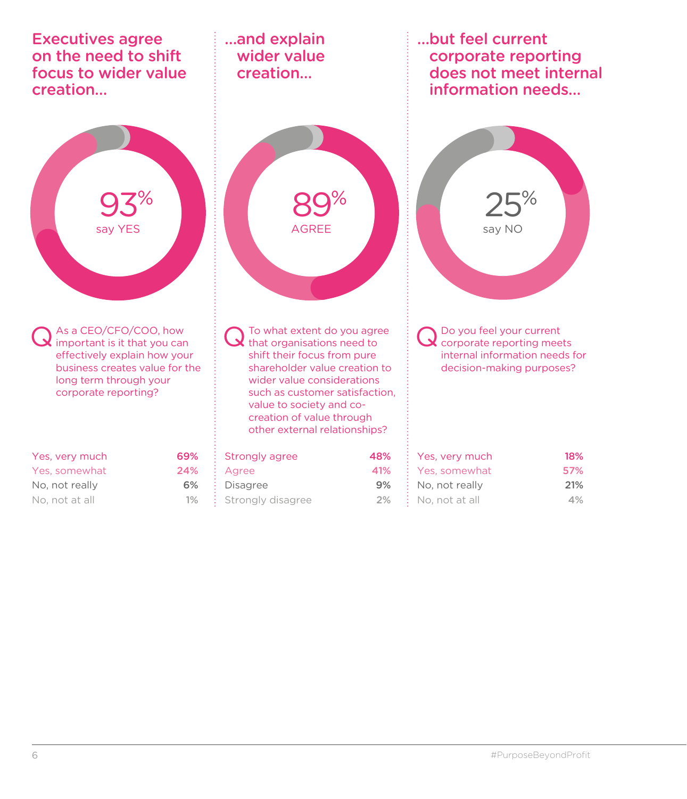| <b>Executives agree</b><br>on the need to shift<br>focus to wider value<br>creation                                                                                              |                  | and explain<br>wider value<br>creation                                                                                                                                                                                                                                              |                  | but feel current<br>corporate reporting<br>does not meet internal<br>information needs                               |                   |
|----------------------------------------------------------------------------------------------------------------------------------------------------------------------------------|------------------|-------------------------------------------------------------------------------------------------------------------------------------------------------------------------------------------------------------------------------------------------------------------------------------|------------------|----------------------------------------------------------------------------------------------------------------------|-------------------|
| say YES                                                                                                                                                                          |                  | <b>AGREE</b>                                                                                                                                                                                                                                                                        |                  | say NO                                                                                                               |                   |
| As a CEO/CFO/COO, how<br>$\sum$ important is it that you can<br>effectively explain how your<br>business creates value for the<br>long term through your<br>corporate reporting? |                  | To what extent do you agree<br>that organisations need to<br>shift their focus from pure<br>shareholder value creation to<br>wider value considerations<br>such as customer satisfaction.<br>value to society and co-<br>creation of value through<br>other external relationships? |                  | Do you feel your current<br>corporate reporting meets<br>internal information needs for<br>decision-making purposes? |                   |
| Yes, very much<br>Yes, somewhat<br>No, not really                                                                                                                                | 69%<br>24%<br>6% | <b>Strongly agree</b><br>Agree<br><b>Disagree</b>                                                                                                                                                                                                                                   | 48%<br>41%<br>9% | Yes, very much<br>Yes, somewhat<br>No, not really                                                                    | 18%<br>57%<br>21% |
| No, not at all                                                                                                                                                                   | 1%               | Strongly disagree                                                                                                                                                                                                                                                                   | 2%               | No, not at all                                                                                                       | 4%                |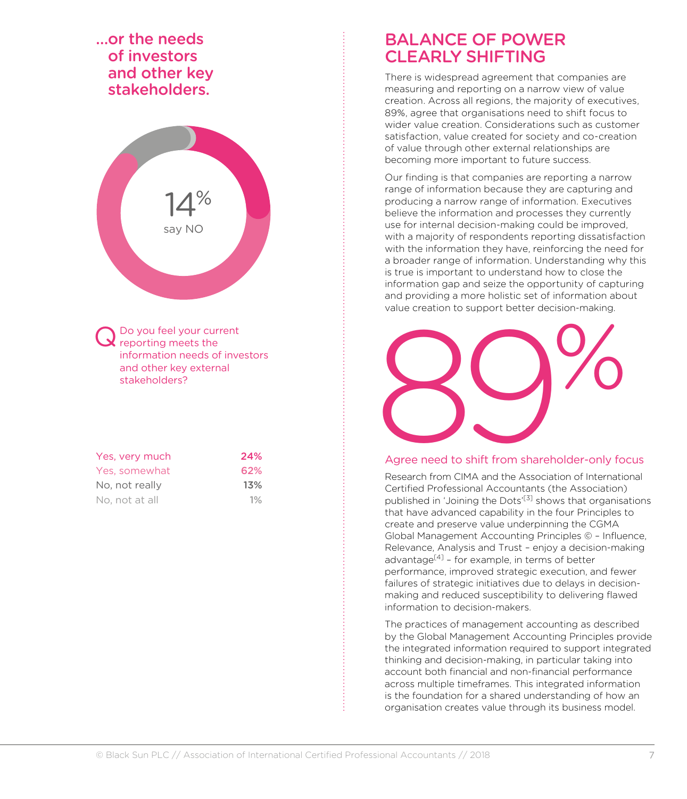#### …or the needs of investors and other key stakeholders.



Do you feel your current reporting meets the information needs of investors and other key external stakeholders?

| Yes, very much | 24%   |
|----------------|-------|
| Yes, somewhat  | 62%   |
| No, not really | 13%   |
| No, not at all | $1\%$ |

#### BALANCE OF POWER CLEARLY SHIFTING

There is widespread agreement that companies are measuring and reporting on a narrow view of value creation. Across all regions, the majority of executives, 89%, agree that organisations need to shift focus to wider value creation. Considerations such as customer satisfaction, value created for society and co-creation of value through other external relationships are becoming more important to future success.

Our finding is that companies are reporting a narrow range of information because they are capturing and producing a narrow range of information. Executives believe the information and processes they currently use for internal decision-making could be improved, with a majority of respondents reporting dissatisfaction with the information they have, reinforcing the need for a broader range of information. Understanding why this is true is important to understand how to close the information gap and seize the opportunity of capturing and providing a more holistic set of information about value creation to support better decision-making.



#### Agree need to shift from shareholder-only focus

Research from CIMA and the Association of International Certified Professional Accountants (the Association) published in 'Joining the Dots'<sup>[3]</sup> shows that organisations that have advanced capability in the four Principles to create and preserve value underpinning the CGMA Global Management Accounting Principles © – Influence, Relevance, Analysis and Trust – enjoy a decision-making advantage $[4]$  – for example, in terms of better performance, improved strategic execution, and fewer failures of strategic initiatives due to delays in decisionmaking and reduced susceptibility to delivering flawed information to decision-makers.

The practices of management accounting as described by the Global Management Accounting Principles provide the integrated information required to support integrated thinking and decision-making, in particular taking into account both financial and non-financial performance across multiple timeframes. This integrated information is the foundation for a shared understanding of how an organisation creates value through its business model.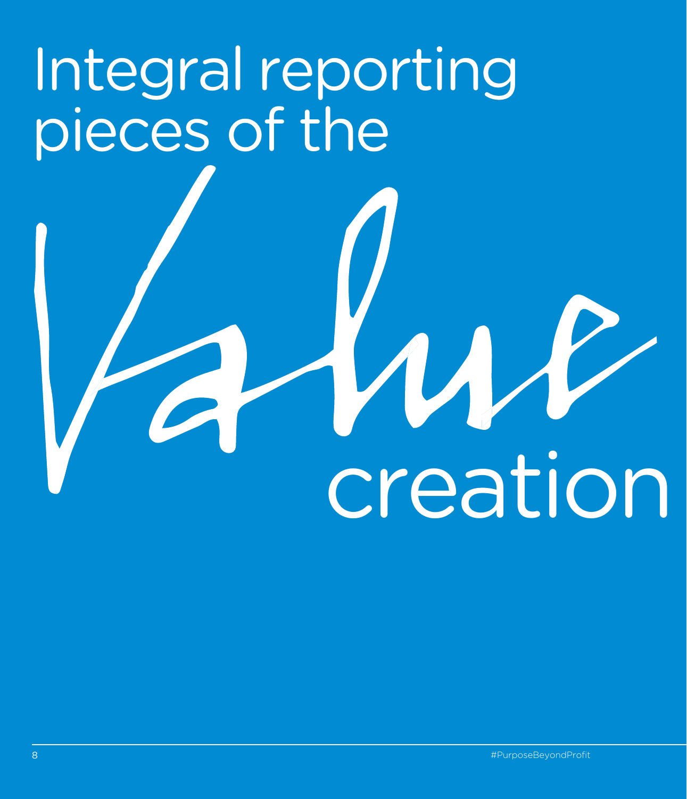# Integral reporting pieces of the

creation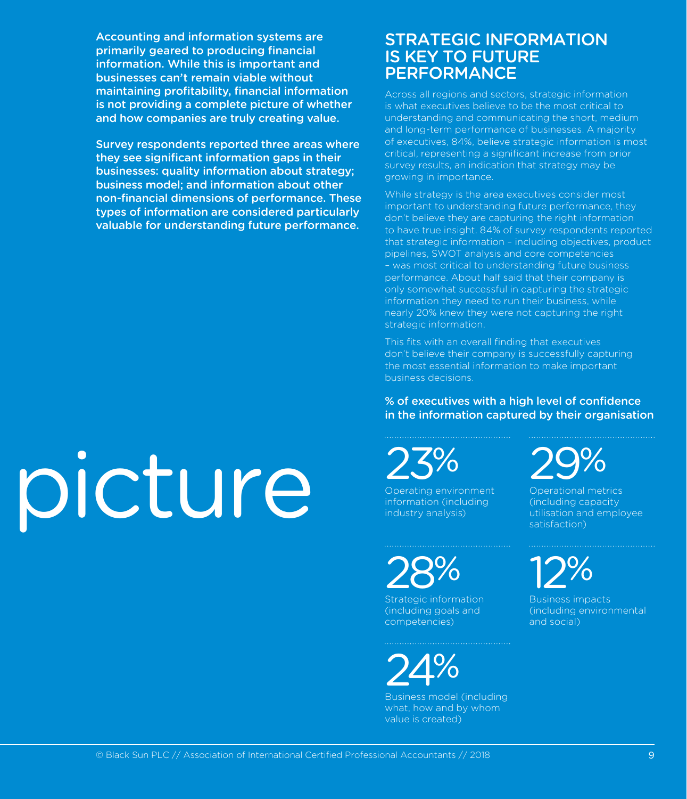Accounting and information systems are primarily geared to producing financial information. While this is important and businesses can't remain viable without maintaining profitability, financial information is not providing a complete picture of whether and how companies are truly creating value.

Survey respondents reported three areas where they see significant information gaps in their businesses: quality information about strategy; business model; and information about other non-financial dimensions of performance. These types of information are considered particularly valuable for understanding future performance.

#### STRATEGIC INFORMATION IS KEY TO FUTURE PERFORMANCE

Across all regions and sectors, strategic information is what executives believe to be the most critical to understanding and communicating the short, medium and long-term performance of businesses. A majority of executives, 84%, believe strategic information is most critical, representing a significant increase from prior survey results, an indication that strategy may be growing in importance.

While strategy is the area executives consider most important to understanding future performance, they don't believe they are capturing the right information to have true insight. 84% of survey respondents reported that strategic information – including objectives, product pipelines, SWOT analysis and core competencies – was most critical to understanding future business performance. About half said that their company is only somewhat successful in capturing the strategic information they need to run their business, while nearly 20% knew they were not capturing the right strategic information.

This fits with an overall finding that executives don't believe their company is successfully capturing the most essential information to make important business decisions.

#### % of executives with a high level of confidence in the information captured by their organisation

23%

Operating environment information (including industry analysis)

28%

Strategic information (including goals and competencies)

24%

Business model (including what, how and by whom value is created)

29%

Operational metrics (including capacity utilisation and employee satisfaction)

12%

Business impacts (including environmental and social)

# picture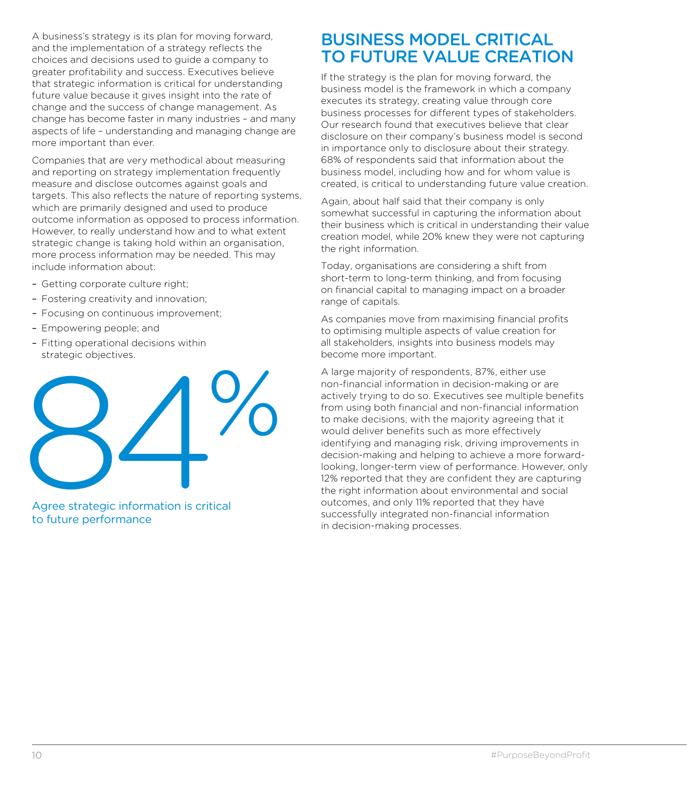A business's strategy is its plan for moving forward, and the implementation of a strategy reflects the choices and decisions used to guide a company to greater profitability and success. Executives believe that strategic information is critical for understanding future value because it gives insight into the rate of change and the success of change management. As change has become faster in many industries – and many aspects of life – understanding and managing change are more important than ever.

Companies that are very methodical about measuring and reporting on strategy implementation frequently measure and disclose outcomes against goals and targets. This also reflects the nature of reporting systems, which are primarily designed and used to produce outcome information as opposed to process information. However, to really understand how and to what extent strategic change is taking hold within an organisation, more process information may be needed. This may include information about:

- Getting corporate culture right;
- Fostering creativity and innovation;
- Focusing on continuous improvement;
- Empowering people; and
- Fitting operational decisions within strategic objectives.



Agree strategic information is critical to future performance

#### BUSINESS MODEL CRITICAL TO FUTURE VALUE CREATION

If the strategy is the plan for moving forward, the business model is the framework in which a company executes its strategy, creating value through core business processes for different types of stakeholders. Our research found that executives believe that clear disclosure on their company's business model is second in importance only to disclosure about their strategy. 68% of respondents said that information about the business model, including how and for whom value is created, is critical to understanding future value creation.

Again, about half said that their company is only somewhat successful in capturing the information about their business which is critical in understanding their value creation model, while 20% knew they were not capturing the right information.

Today, organisations are considering a shift from short-term to long-term thinking, and from focusing on financial capital to managing impact on a broader range of capitals.

As companies move from maximising financial profits to optimising multiple aspects of value creation for all stakeholders, insights into business models may become more important.

A large majority of respondents, 87%, either use non-financial information in decision-making or are actively trying to do so. Executives see multiple benefits from using both financial and non-financial information to make decisions, with the majority agreeing that it would deliver benefits such as more effectively identifying and managing risk, driving improvements in decision-making and helping to achieve a more forwardlooking, longer-term view of performance. However, only 12% reported that they are confident they are capturing the right information about environmental and social outcomes, and only 11% reported that they have successfully integrated non-financial information in decision-making processes.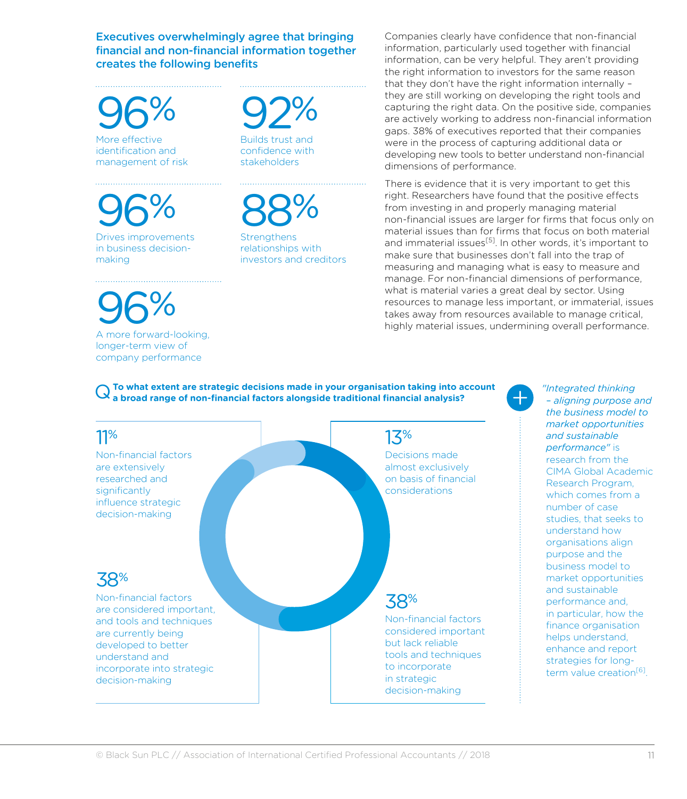Executives overwhelmingly agree that bringing financial and non-financial information together creates the following benefits

96% More effective identification and management of risk

96% Drives improvements in business decisionmaking

96%

A more forward-looking, longer-term view of company performance

### 92%

Builds trust and confidence with stakeholders

### 88%

**Strengthens** relationships with investors and creditors Companies clearly have confidence that non-financial information, particularly used together with financial information, can be very helpful. They aren't providing the right information to investors for the same reason that they don't have the right information internally – they are still working on developing the right tools and capturing the right data. On the positive side, companies are actively working to address non-financial information gaps. 38% of executives reported that their companies were in the process of capturing additional data or developing new tools to better understand non-financial dimensions of performance.

There is evidence that it is very important to get this right. Researchers have found that the positive effects from investing in and properly managing material non-financial issues are larger for firms that focus only on material issues than for firms that focus on both material and immaterial issues<sup>[5]</sup>. In other words, it's important to make sure that businesses don't fall into the trap of measuring and managing what is easy to measure and manage. For non-financial dimensions of performance, what is material varies a great deal by sector. Using resources to manage less important, or immaterial, issues takes away from resources available to manage critical, highly material issues, undermining overall performance.

#### Q **To what extent are strategic decisions made in your organisation taking into account a broad range of non-financial factors alongside traditional financial analysis?**



*"Integrated thinking – aligning purpose and the business model to market opportunities and sustainable performance"* is research from the CIMA Global Academic Research Program, which comes from a number of case studies, that seeks to understand how organisations align purpose and the business model to market opportunities and sustainable performance and, in particular, how the finance organisation helps understand, enhance and report strategies for longterm value creation<sup>[6]</sup>.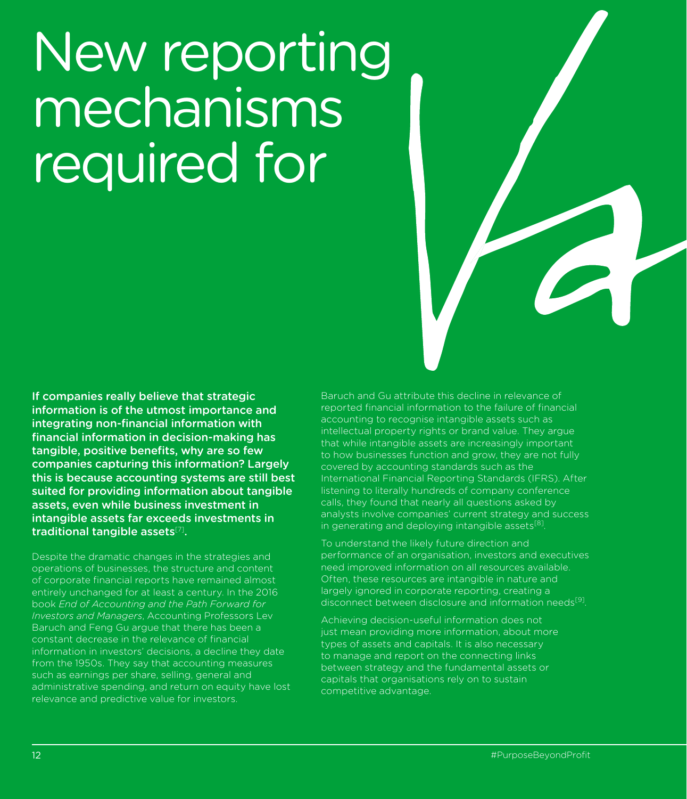## New reporting mechanisms required for

If companies really believe that strategic information is of the utmost importance and integrating non-financial information with financial information in decision-making has tangible, positive benefits, why are so few companies capturing this information? Largely this is because accounting systems are still best suited for providing information about tangible assets, even while business investment in intangible assets far exceeds investments in traditional tangible assets $[7]$ .

Despite the dramatic changes in the strategies and operations of businesses, the structure and content of corporate financial reports have remained almost entirely unchanged for at least a century. In the 2016 book *End of Accounting and the Path Forward for Investors and Managers*, Accounting Professors Lev Baruch and Feng Gu argue that there has been a constant decrease in the relevance of financial information in investors' decisions, a decline they date from the 1950s. They say that accounting measures such as earnings per share, selling, general and administrative spending, and return on equity have lost relevance and predictive value for investors.

Baruch and Gu attribute this decline in relevance of reported financial information to the failure of financial accounting to recognise intangible assets such as intellectual property rights or brand value. They argue that while intangible assets are increasingly important to how businesses function and grow, they are not fully covered by accounting standards such as the International Financial Reporting Standards (IFRS). After listening to literally hundreds of company conference calls, they found that nearly all questions asked by analysts involve companies' current strategy and success in generating and deploying intangible assets $^{[8]}$ .

To understand the likely future direction and performance of an organisation, investors and executives need improved information on all resources available. Often, these resources are intangible in nature and largely ignored in corporate reporting, creating a disconnect between disclosure and information needs<sup>[9]</sup>.

Achieving decision-useful information does not just mean providing more information, about more types of assets and capitals. It is also necessary to manage and report on the connecting links between strategy and the fundamental assets or capitals that organisations rely on to sustain competitive advantage.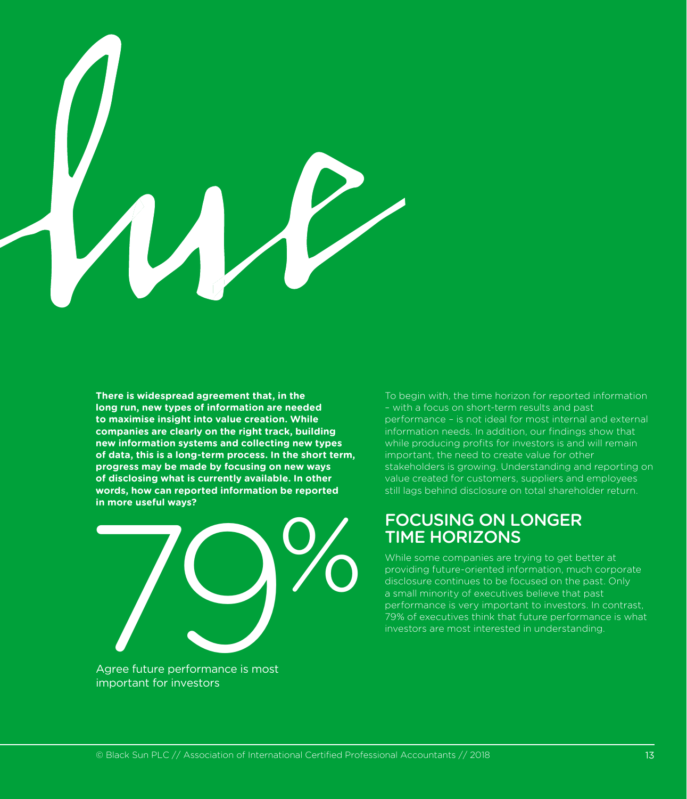

**There is widespread agreement that, in the long run, new types of information are needed to maximise insight into value creation. While companies are clearly on the right track, building new information systems and collecting new types of data, this is a long-term process. In the short term, progress may be made by focusing on new ways of disclosing what is currently available. In other words, how can reported information be reported in more useful ways?**



To begin with, the time horizon for reported information – with a focus on short-term results and past performance – is not ideal for most internal and external information needs. In addition, our findings show that while producing profits for investors is and will remain important, the need to create value for other stakeholders is growing. Understanding and reporting on value created for customers, suppliers and employees still lags behind disclosure on total shareholder return.

#### FOCUSING ON LONGER TIME HORIZONS

While some companies are trying to get better at providing future-oriented information, much corporate disclosure continues to be focused on the past. Only a small minority of executives believe that past performance is very important to investors. In contrast, 79% of executives think that future performance is what investors are most interested in understanding.

Agree future performance is most important for investors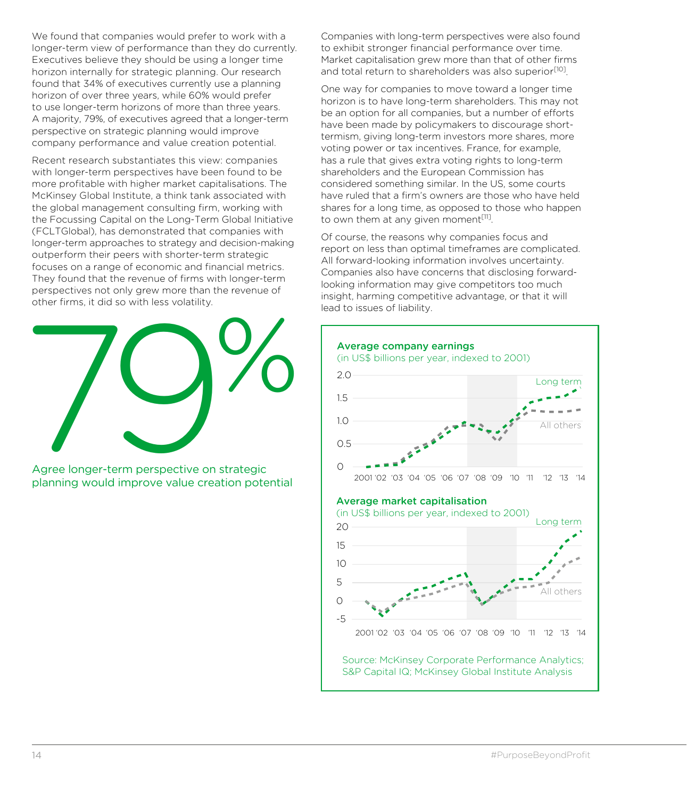We found that companies would prefer to work with a longer-term view of performance than they do currently. Executives believe they should be using a longer time horizon internally for strategic planning. Our research found that 34% of executives currently use a planning horizon of over three years, while 60% would prefer to use longer-term horizons of more than three years. A majority, 79%, of executives agreed that a longer-term perspective on strategic planning would improve company performance and value creation potential.

Recent research substantiates this view: companies with longer-term perspectives have been found to be more profitable with higher market capitalisations. The McKinsey Global Institute, a think tank associated with the global management consulting firm, working with the Focussing Capital on the Long-Term Global Initiative (FCLTGlobal), has demonstrated that companies with longer-term approaches to strategy and decision-making outperform their peers with shorter-term strategic focuses on a range of economic and financial metrics. They found that the revenue of firms with longer-term perspectives not only grew more than the revenue of other firms, it did so with less volatility.



Agree longer-term perspective on strategic planning would improve value creation potential

Companies with long-term perspectives were also found to exhibit stronger financial performance over time. Market capitalisation grew more than that of other firms and total return to shareholders was also superior<sup>[10]</sup>.

One way for companies to move toward a longer time horizon is to have long-term shareholders. This may not be an option for all companies, but a number of efforts have been made by policymakers to discourage shorttermism, giving long-term investors more shares, more voting power or tax incentives. France, for example, has a rule that gives extra voting rights to long-term shareholders and the European Commission has considered something similar. In the US, some courts have ruled that a firm's owners are those who have held shares for a long time, as opposed to those who happen to own them at any given moment $[11]$ .

Of course, the reasons why companies focus and report on less than optimal timeframes are complicated. All forward-looking information involves uncertainty. Companies also have concerns that disclosing forwardlooking information may give competitors too much insight, harming competitive advantage, or that it will lead to issues of liability.

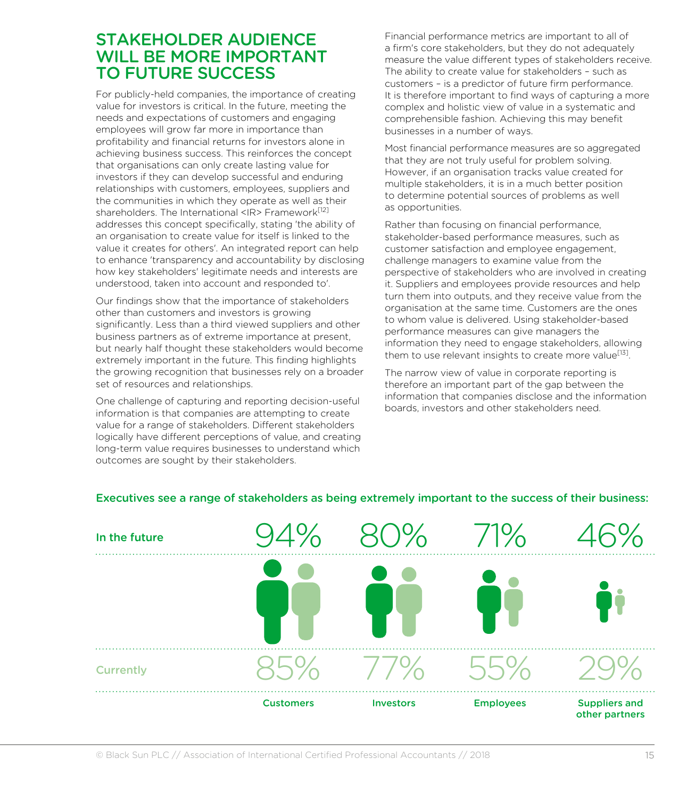#### STAKEHOLDER AUDIENCE WILL BE MORE IMPORTANT TO FUTURE SUCCESS

For publicly-held companies, the importance of creating value for investors is critical. In the future, meeting the needs and expectations of customers and engaging employees will grow far more in importance than profitability and financial returns for investors alone in achieving business success. This reinforces the concept that organisations can only create lasting value for investors if they can develop successful and enduring relationships with customers, employees, suppliers and the communities in which they operate as well as their shareholders. The International <IR>Framework<sup>[12]</sup> addresses this concept specifically, stating 'the ability of an organisation to create value for itself is linked to the value it creates for others'. An integrated report can help to enhance 'transparency and accountability by disclosing how key stakeholders' legitimate needs and interests are understood, taken into account and responded to'.

Our findings show that the importance of stakeholders other than customers and investors is growing significantly. Less than a third viewed suppliers and other business partners as of extreme importance at present, but nearly half thought these stakeholders would become extremely important in the future. This finding highlights the growing recognition that businesses rely on a broader set of resources and relationships.

One challenge of capturing and reporting decision-useful information is that companies are attempting to create value for a range of stakeholders. Different stakeholders logically have different perceptions of value, and creating long-term value requires businesses to understand which outcomes are sought by their stakeholders.

Financial performance metrics are important to all of a firm's core stakeholders, but they do not adequately measure the value different types of stakeholders receive. The ability to create value for stakeholders – such as customers – is a predictor of future firm performance. It is therefore important to find ways of capturing a more complex and holistic view of value in a systematic and comprehensible fashion. Achieving this may benefit businesses in a number of ways.

Most financial performance measures are so aggregated that they are not truly useful for problem solving. However, if an organisation tracks value created for multiple stakeholders, it is in a much better position to determine potential sources of problems as well as opportunities.

Rather than focusing on financial performance, stakeholder-based performance measures, such as customer satisfaction and employee engagement, challenge managers to examine value from the perspective of stakeholders who are involved in creating it. Suppliers and employees provide resources and help turn them into outputs, and they receive value from the organisation at the same time. Customers are the ones to whom value is delivered. Using stakeholder-based performance measures can give managers the information they need to engage stakeholders, allowing them to use relevant insights to create more value<sup>[13]</sup>.

The narrow view of value in corporate reporting is therefore an important part of the gap between the information that companies disclose and the information boards, investors and other stakeholders need.



#### Executives see a range of stakeholders as being extremely important to the success of their business: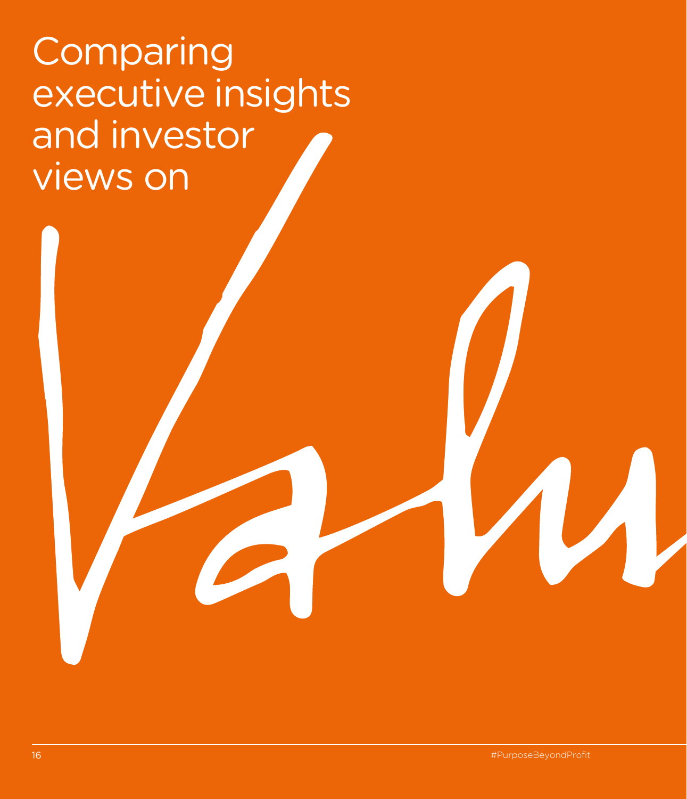### Comparing executive insights and investor views on

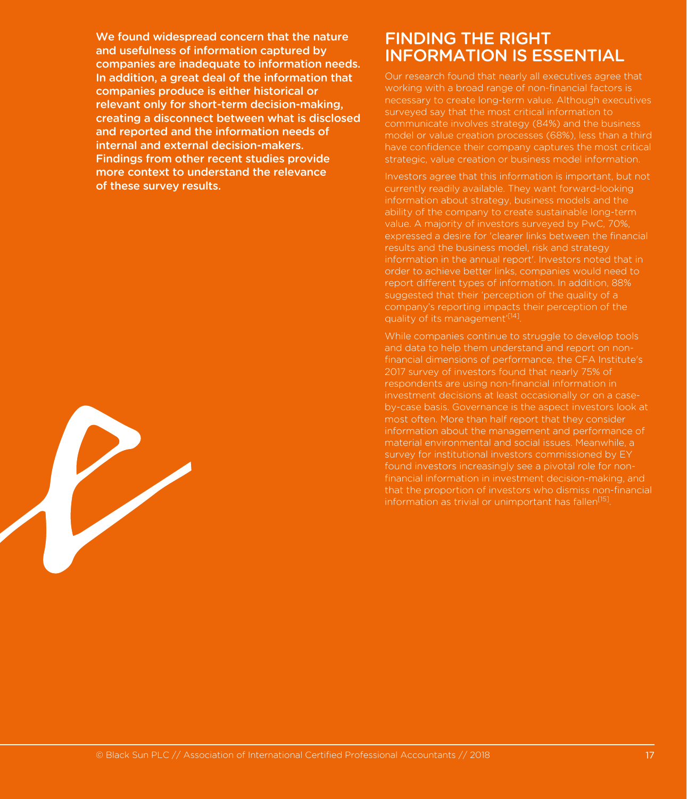We found widespread concern that the nature and usefulness of information captured by companies are inadequate to information needs. In addition, a great deal of the information that companies produce is either historical or relevant only for short-term decision-making, creating a disconnect between what is disclosed and reported and the information needs of internal and external decision-makers. Findings from other recent studies provide more context to understand the relevance of these survey results.

#### FINDING THE RIGHT INFORMATION IS ESSENTIAL

Our research found that nearly all executives agree that working with a broad range of non-financial factors is necessary to create long-term value. Although executives surveyed say that the most critical information to communicate involves strategy (84%) and the business model or value creation processes (68%), less than a third have confidence their company captures the most critical strategic, value creation or business model information.

Investors agree that this information is important, but not currently readily available. They want forward-looking information about strategy, business models and the ability of the company to create sustainable long-term value. A majority of investors surveyed by PwC, 70%, expressed a desire for 'clearer links between the financial results and the business model, risk and strategy information in the annual report'. Investors noted that in order to achieve better links, companies would need to report different types of information. In addition, 88% suggested that their 'perception of the quality of a company's reporting impacts their perception of the quality of its management'[14].

While companies continue to struggle to develop tools and data to help them understand and report on non-2017 survey of investors found that nearly 75% of respondents are using non-financial information in investment decisions at least occasionally or on a caseby-case basis. Governance is the aspect investors look at most often. More than half report that they consider information about the management and performance of material environmental and social issues. Meanwhile, a survey for institutional investors commissioned by EY found investors increasingly see a pivotal role for nonfinancial information in investment decision-making, and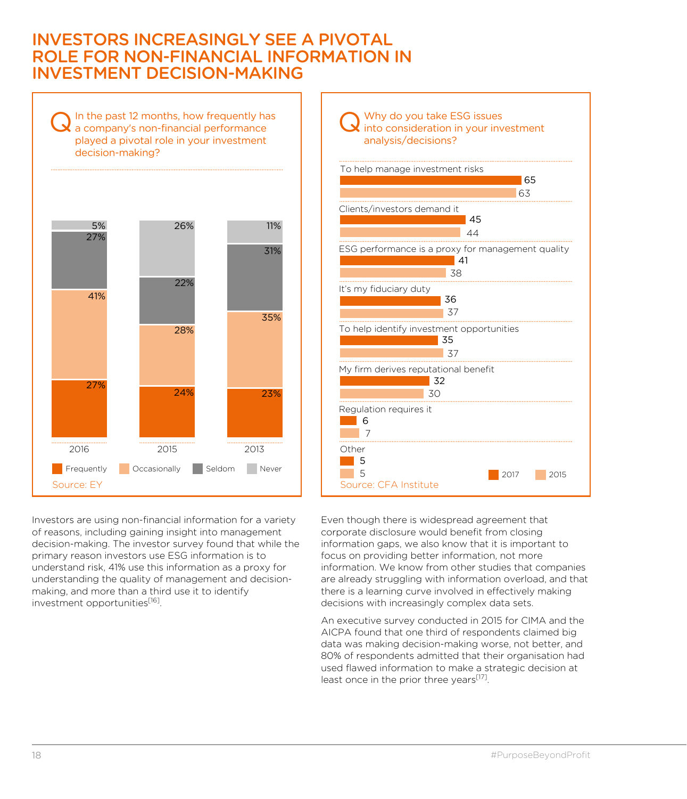#### INVESTORS INCREASINGLY SEE A PIVOTAL ROLE FOR NON-FINANCIAL INFORMATION IN INVESTMENT DECISION-MAKING

 $\mathbf Q$  In the past 12 months, how frequently has a company's non-financial performance played a pivotal role in your investment decision-making?



Investors are using non-financial information for a variety of reasons, including gaining insight into management decision-making. The investor survey found that while the primary reason investors use ESG information is to understand risk, 41% use this information as a proxy for understanding the quality of management and decisionmaking, and more than a third use it to identify investment opportunities<sup>[16]</sup>.



Even though there is widespread agreement that corporate disclosure would benefit from closing information gaps, we also know that it is important to focus on providing better information, not more information. We know from other studies that companies are already struggling with information overload, and that there is a learning curve involved in effectively making decisions with increasingly complex data sets.

An executive survey conducted in 2015 for CIMA and the AICPA found that one third of respondents claimed big data was making decision-making worse, not better, and 80% of respondents admitted that their organisation had used flawed information to make a strategic decision at least once in the prior three years<sup>[17]</sup>.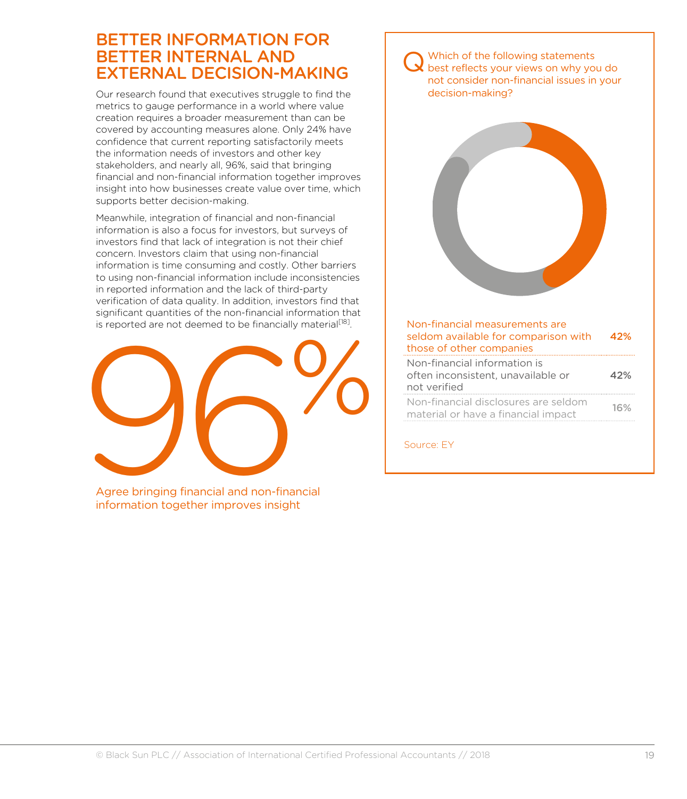#### BETTER INFORMATION FOR BETTER INTERNAL AND EXTERNAL DECISION-MAKING

Our research found that executives struggle to find the metrics to gauge performance in a world where value creation requires a broader measurement than can be covered by accounting measures alone. Only 24% have confidence that current reporting satisfactorily meets the information needs of investors and other key stakeholders, and nearly all, 96%, said that bringing financial and non-financial information together improves insight into how businesses create value over time, which supports better decision-making.

Meanwhile, integration of financial and non-financial information is also a focus for investors, but surveys of investors find that lack of integration is not their chief concern. Investors claim that using non-financial information is time consuming and costly. Other barriers to using non-financial information include inconsistencies in reported information and the lack of third-party verification of data quality. In addition, investors find that significant quantities of the non-financial information that is reported are not deemed to be financially material<sup>[18]</sup>.



Agree bringing financial and non-financial information together improves insight

#### Q Which of the following statements best reflects your views on why you do not consider non-financial issues in your decision-making?



#### Non-financial measurements are seldom available for comparison with those of other companies 42%

| Non-financial information is                                                |     |
|-----------------------------------------------------------------------------|-----|
| often inconsistent, unavailable or                                          | 42% |
| not verified                                                                |     |
| Non-financial disclosures are seldom<br>material or have a financial impact | 16% |
|                                                                             |     |

Source: EY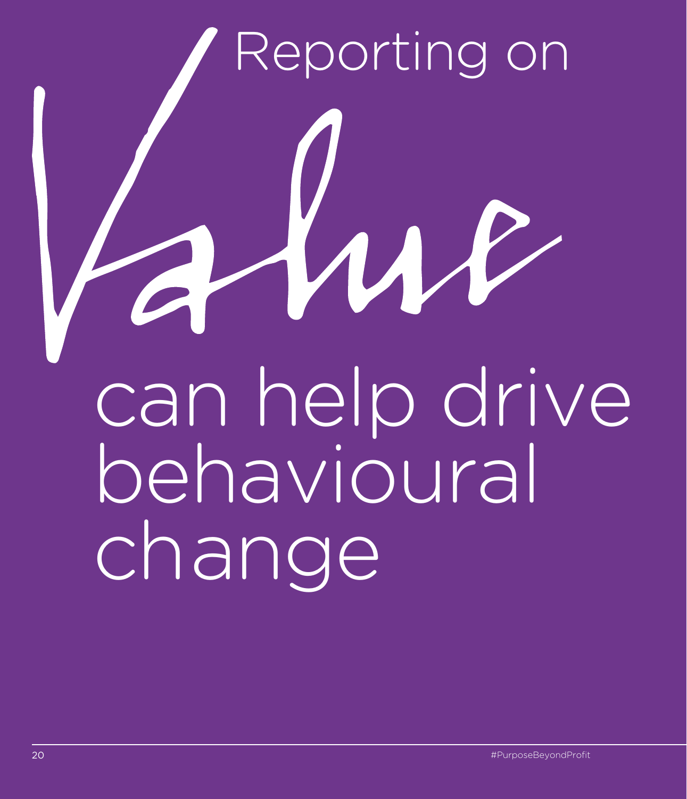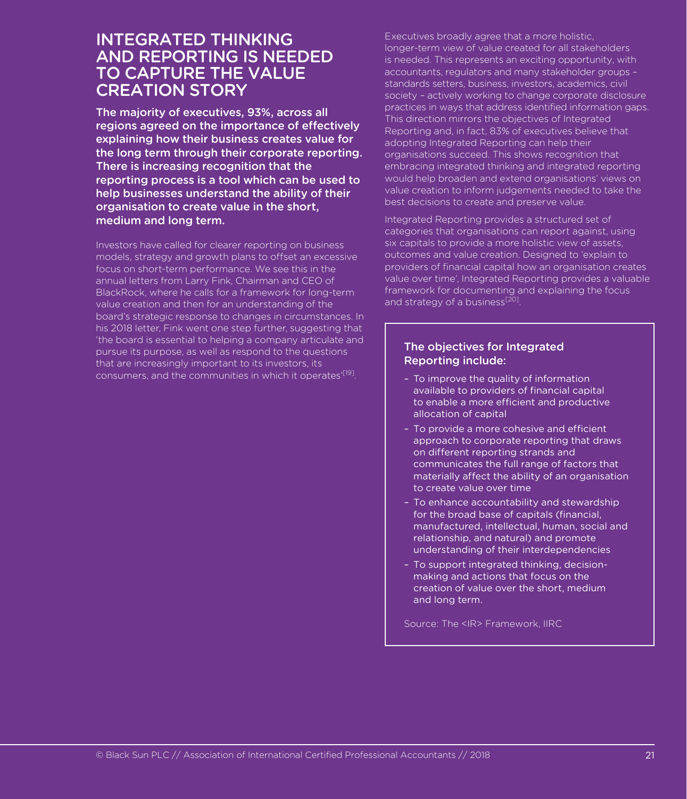#### INTEGRATED THINKING AND REPORTING IS NEEDED TO CAPTURE THE VALUE CREATION STORY

The majority of executives, 93%, across all regions agreed on the importance of effectively explaining how their business creates value for the long term through their corporate reporting. There is increasing recognition that the reporting process is a tool which can be used to help businesses understand the ability of their organisation to create value in the short, medium and long term.

Investors have called for clearer reporting on business models, strategy and growth plans to offset an excessive focus on short-term performance. We see this in the annual letters from Larry Fink, Chairman and CEO of BlackRock, where he calls for a framework for long-term value creation and then for an understanding of the board's strategic response to changes in circumstances. In his 2018 letter, Fink went one step further, suggesting that 'the board is essential to helping a company articulate and pursue its purpose, as well as respond to the questions that are increasingly important to its investors, its consumers, and the communities in which it operates<sup>'[19]</sup>.

Executives broadly agree that a more holistic, longer-term view of value created for all stakeholders is needed. This represents an exciting opportunity, with accountants, regulators and many stakeholder groups – standards setters, business, investors, academics, civil society – actively working to change corporate disclosure practices in ways that address identified information gaps. This direction mirrors the objectives of Integrated Reporting and, in fact, 83% of executives believe that adopting Integrated Reporting can help their organisations succeed. This shows recognition that embracing integrated thinking and integrated reporting would help broaden and extend organisations' views on value creation to inform judgements needed to take the best decisions to create and preserve value.

Integrated Reporting provides a structured set of categories that organisations can report against, using six capitals to provide a more holistic view of assets, outcomes and value creation. Designed to 'explain to providers of financial capital how an organisation creates value over time', Integrated Reporting provides a valuable framework for documenting and explaining the focus and strategy of a business<sup>[20]</sup>.

#### The objectives for Integrated Reporting include:

- To improve the quality of information available to providers of financial capital to enable a more efficient and productive allocation of capital
- To provide a more cohesive and efficient approach to corporate reporting that draws on different reporting strands and communicates the full range of factors that materially affect the ability of an organisation to create value over time
- To enhance accountability and stewardship for the broad base of capitals (financial, manufactured, intellectual, human, social and relationship, and natural) and promote understanding of their interdependencies
- To support integrated thinking, decisionmaking and actions that focus on the creation of value over the short, medium and long term.

Source: The <IR> Framework, IIRC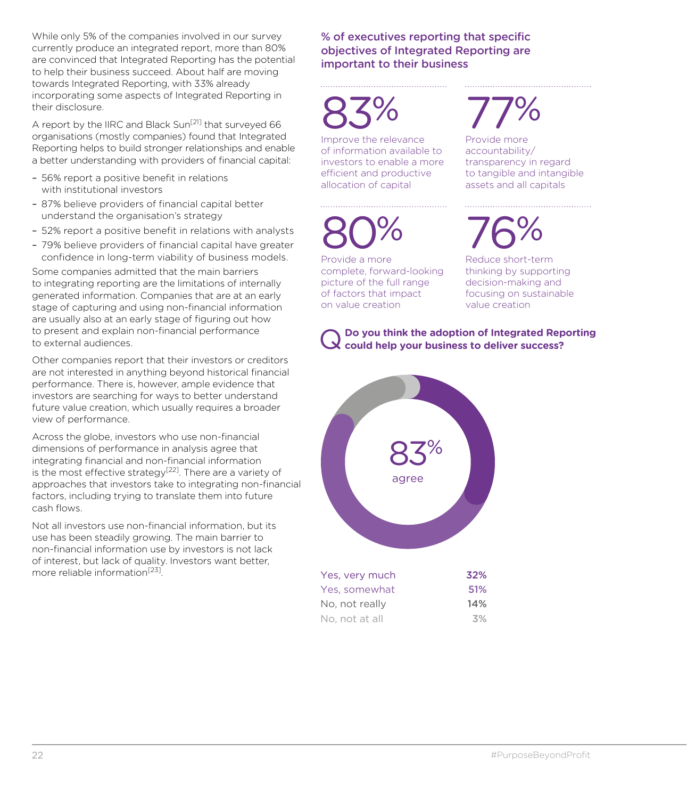While only 5% of the companies involved in our survey currently produce an integrated report, more than 80% are convinced that Integrated Reporting has the potential to help their business succeed. About half are moving towards Integrated Reporting, with 33% already incorporating some aspects of Integrated Reporting in their disclosure.

A report by the IIRC and Black Sun<sup>[21]</sup> that surveyed 66 organisations (mostly companies) found that Integrated Reporting helps to build stronger relationships and enable a better understanding with providers of financial capital:

- 56% report a positive benefit in relations with institutional investors
- 87% believe providers of financial capital better understand the organisation's strategy
- 52% report a positive benefit in relations with analysts
- 79% believe providers of financial capital have greater confidence in long-term viability of business models.

Some companies admitted that the main barriers to integrating reporting are the limitations of internally generated information. Companies that are at an early stage of capturing and using non-financial information are usually also at an early stage of figuring out how to present and explain non-financial performance to external audiences.

Other companies report that their investors or creditors are not interested in anything beyond historical financial performance. There is, however, ample evidence that investors are searching for ways to better understand future value creation, which usually requires a broader view of performance.

Across the globe, investors who use non-financial dimensions of performance in analysis agree that integrating financial and non-financial information is the most effective strategy<sup>[22]</sup>. There are a variety of approaches that investors take to integrating non-financial factors, including trying to translate them into future cash flows.

Not all investors use non-financial information, but its use has been steadily growing. The main barrier to non-financial information use by investors is not lack of interest, but lack of quality. Investors want better, more reliable information<sup>[23]</sup>.

% of executives reporting that specific objectives of Integrated Reporting are important to their business

83%

Improve the relevance of information available to investors to enable a more efficient and productive allocation of capital

80%

Provide a more complete, forward-looking picture of the full range of factors that impact on value creation

### 77%

Provide more accountability/ transparency in regard to tangible and intangible assets and all capitals

76%

Reduce short-term thinking by supporting decision-making and focusing on sustainable value creation

#### Q**Do you think the adoption of Integrated Reporting could help your business to deliver success?**

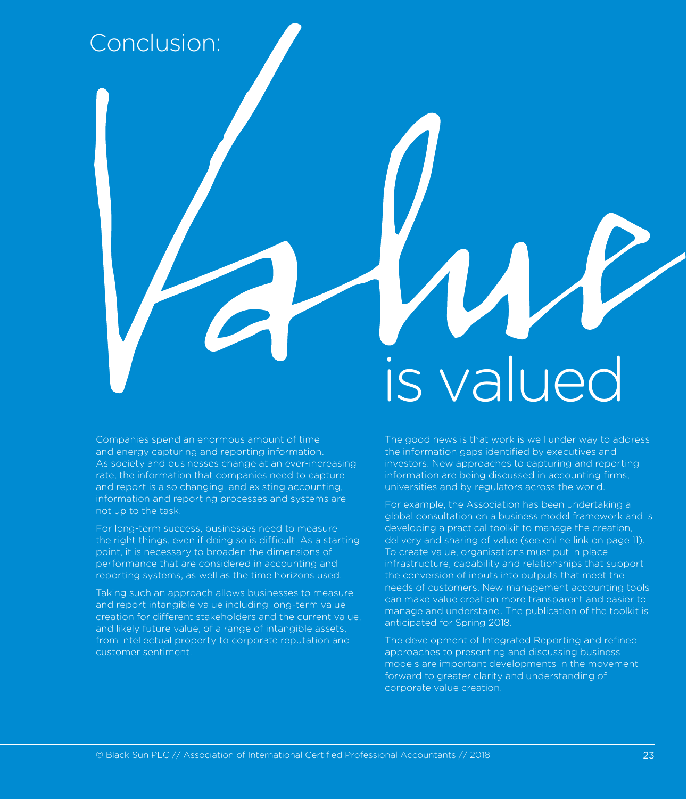#### Conclusion:

#### Companies spend an enormous amount of time and energy capturing and reporting information. As society and businesses change at an ever-increasing rate, the information that companies need to capture and report is also changing, and existing accounting, information and reporting processes and systems are not up to the task.

For long-term success, businesses need to measure the right things, even if doing so is difficult. As a starting point, it is necessary to broaden the dimensions of performance that are considered in accounting and reporting systems, as well as the time horizons used.

Taking such an approach allows businesses to measure and report intangible value including long-term value creation for different stakeholders and the current value, and likely future value, of a range of intangible assets, from intellectual property to corporate reputation and customer sentiment.

# is valued

The good news is that work is well under way to address the information gaps identified by executives and investors. New approaches to capturing and reporting information are being discussed in accounting firms, universities and by regulators across the world.

For example, the Association has been undertaking a global consultation on a business model framework and is developing a practical toolkit to manage the creation, delivery and sharing of value (see online link on page 11). To create value, organisations must put in place infrastructure, capability and relationships that support the conversion of inputs into outputs that meet the needs of customers. New management accounting tools can make value creation more transparent and easier to manage and understand. The publication of the toolkit is anticipated for Spring 2018.

The development of Integrated Reporting and refined approaches to presenting and discussing business models are important developments in the movement forward to greater clarity and understanding of corporate value creation.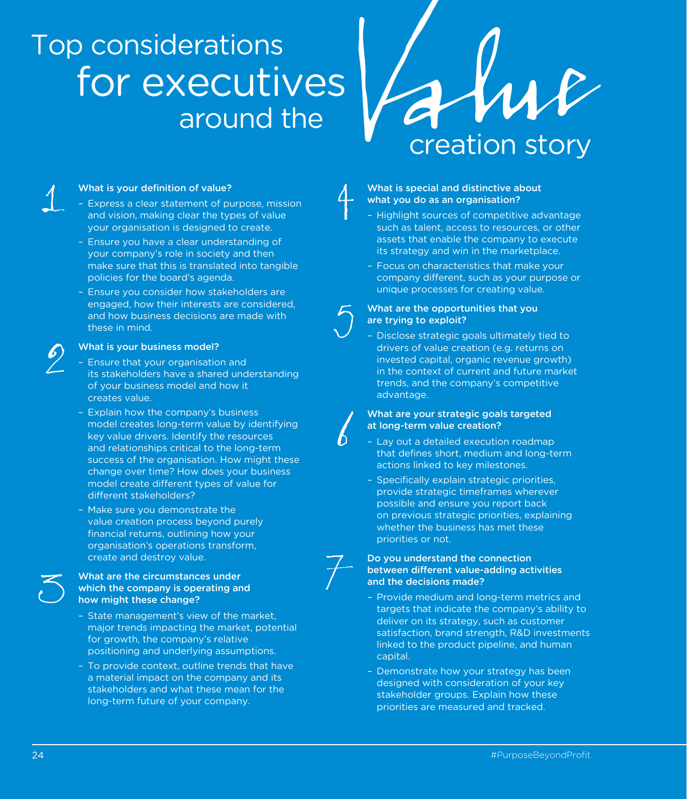### Top considerations around the for executives

creation story

#### What is your definition of value?

- Express a clear statement of purpose, mission and vision, making clear the types of value your organisation is designed to create.
- Ensure you have a clear understanding of your company's role in society and then make sure that this is translated into tangible policies for the board's agenda.
- Ensure you consider how stakeholders are engaged, how their interests are considered, and how business decisions are made with these in mind.

#### What is your business model?

- Ensure that your organisation and its stakeholders have a shared understanding of your business model and how it creates value.
- Explain how the company's business model creates long-term value by identifying key value drivers. Identify the resources and relationships critical to the long-term success of the organisation. How might these change over time? How does your business model create different types of value for different stakeholders?
- Make sure you demonstrate the value creation process beyond purely financial returns, outlining how your organisation's operations transform, create and destroy value.

#### What are the circumstances under which the company is operating and how might these change?

- State management's view of the market, major trends impacting the market, potential for growth, the company's relative positioning and underlying assumptions.
- To provide context, outline trends that have a material impact on the company and its stakeholders and what these mean for the long-term future of your company.

#### What is special and distinctive about what you do as an organisation?

- Highlight sources of competitive advantage such as talent, access to resources, or other assets that enable the company to execute its strategy and win in the marketplace.
- Focus on characteristics that make your company different, such as your purpose or unique processes for creating value.

#### What are the opportunities that you are trying to exploit?

– Disclose strategic goals ultimately tied to drivers of value creation (e.g. returns on invested capital, organic revenue growth) in the context of current and future market trends, and the company's competitive advantage.

#### What are your strategic goals targeted at long-term value creation?

- Lay out a detailed execution roadmap that defines short, medium and long-term actions linked to key milestones.
- Specifically explain strategic priorities, provide strategic timeframes wherever possible and ensure you report back on previous strategic priorities, explaining whether the business has met these priorities or not.

#### Do you understand the connection between different value-adding activities and the decisions made?

- Provide medium and long-term metrics and targets that indicate the company's ability to deliver on its strategy, such as customer satisfaction, brand strength, R&D investments linked to the product pipeline, and human capital.
- Demonstrate how your strategy has been designed with consideration of your key stakeholder groups. Explain how these priorities are measured and tracked.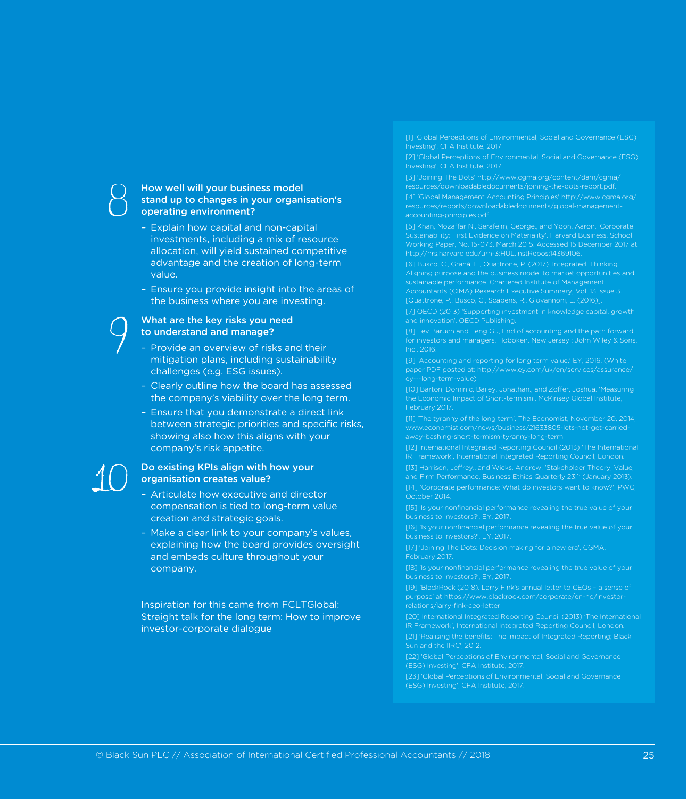#### How well will your business model stand up to changes in your organisation's operating environment?

- Explain how capital and non-capital investments, including a mix of resource allocation, will yield sustained competitive advantage and the creation of long-term value.
- Ensure you provide insight into the areas of the business where you are investing.

#### What are the key risks you need to understand and manage?

- Provide an overview of risks and their mitigation plans, including sustainability challenges (e.g. ESG issues).
- Clearly outline how the board has assessed the company's viability over the long term.
- Ensure that you demonstrate a direct link between strategic priorities and specific risks, showing also how this aligns with your company's risk appetite.

#### Do existing KPIs align with how your organisation creates value?

- Articulate how executive and director compensation is tied to long-term value creation and strategic goals.
- Make a clear link to your company's values, explaining how the board provides oversight and embeds culture throughout your company.

Inspiration for this came from FCLTGlobal: Straight talk for the long term: How to improve investor-corporate dialogue

[1] 'Global Perceptions of Environmental, Social and Governance (ESG) Investing', CFA Institute, 2017.

[2] 'Global Perceptions of Environmental, Social and Governance (ESG) Investing', CFA Institute, 2017.

[4] 'Global Management Accounting Principles' http://www.cgma.org/ resources/reports/downloadabledocuments/global-management-

Sustainability: First Evidence on Materiality'. Harvard Business. School Working Paper, No. 15-073, March 2015. Accessed 15 December 2017 at http://nrs.harvard.edu/urn-3:HUL.InstRepos:14369106.

[6] Busco, C., Granà, F., Quattrone, P. (2017). Integrated. Thinking. sustainable performance. Chartered Institute of Management Accountants (CIMA) Research Executive Summary, Vol. 13 Issue 3. [Quattrone, P., Busco, C., Scapens, R., Giovannoni, E. (2016)].

and innovation'. OECD Publishing.

[8] Lev Baruch and Feng Gu, End of accounting and the path forward for investors and managers, Hoboken, New Jersey : John Wiley & Sons,

[9] 'Accounting and reporting for long term value,' EY, 2016. (White

[10] Barton, Dominic, Bailey, Jonathan., and Zoffer, Joshua. 'Measuring the Economic Impact of Short-termism', McKinsey Global Institute,

[11] 'The tyranny of the long term', The Economist, November 20, 2014, www.economist.com/news/business/21633805-lets-not-get-carried-

[12] International Integrated Reporting Council (2013) 'The International IR Framework', International Integrated Reporting Council, London.

and Firm Performance, Business Ethics Quarterly 23:1' (January 2013). October 2014.

business to investors?', EY, 2017.

[16] 'Is your nonfinancial performance revealing the true value of your business to investors?', EY, 2017.

February 2017.

[18] 'Is your nonfinancial performance revealing the true value of your business to investors?', EY, 2017.

[19] 'BlackRock (2018). Larry Fink's annual letter to CEOs – a sense of purpose' at https://www.blackrock.com/corporate/en-no/investorrelations/larry-fink-ceo-letter.

[20] International Integrated Reporting Council (2013) 'The International IR Framework', International Integrated Reporting Council, London.

[21] 'Realising the benefits: The impact of Integrated Reporting; Black Sun and the IIRC', 2012.

[23] 'Global Perceptions of Environmental, Social and Governance (ESG) Investing', CFA Institute, 2017.